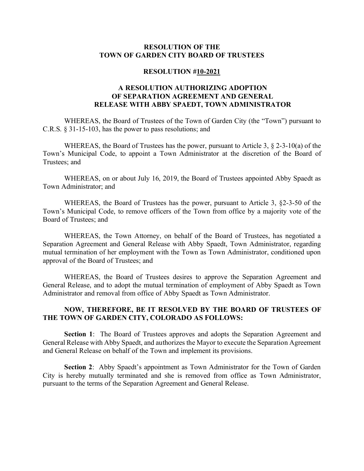## **RESOLUTION OF THE TOWN OF GARDEN CITY BOARD OF TRUSTEES**

## **RESOLUTION #10-2021**

## **A RESOLUTION AUTHORIZING ADOPTION OF SEPARATION AGREEMENT AND GENERAL RELEASE WITH ABBY SPAEDT, TOWN ADMINISTRATOR**

WHEREAS, the Board of Trustees of the Town of Garden City (the "Town") pursuant to C.R.S. § 31-15-103, has the power to pass resolutions; and

WHEREAS, the Board of Trustees has the power, pursuant to Article 3, § 2-3-10(a) of the Town's Municipal Code, to appoint a Town Administrator at the discretion of the Board of Trustees; and

WHEREAS, on or about July 16, 2019, the Board of Trustees appointed Abby Spaedt as Town Administrator; and

WHEREAS, the Board of Trustees has the power, pursuant to Article 3, §2-3-50 of the Town's Municipal Code, to remove officers of the Town from office by a majority vote of the Board of Trustees; and

WHEREAS, the Town Attorney, on behalf of the Board of Trustees, has negotiated a Separation Agreement and General Release with Abby Spaedt, Town Administrator, regarding mutual termination of her employment with the Town as Town Administrator, conditioned upon approval of the Board of Trustees; and

WHEREAS, the Board of Trustees desires to approve the Separation Agreement and General Release, and to adopt the mutual termination of employment of Abby Spaedt as Town Administrator and removal from office of Abby Spaedt as Town Administrator.

## **NOW, THEREFORE, BE IT RESOLVED BY THE BOARD OF TRUSTEES OF THE TOWN OF GARDEN CITY, COLORADO AS FOLLOWS:**

**Section 1**: The Board of Trustees approves and adopts the Separation Agreement and General Release with Abby Spaedt, and authorizes the Mayor to execute the Separation Agreement and General Release on behalf of the Town and implement its provisions.

**Section 2**: Abby Spaedt's appointment as Town Administrator for the Town of Garden City is hereby mutually terminated and she is removed from office as Town Administrator, pursuant to the terms of the Separation Agreement and General Release.